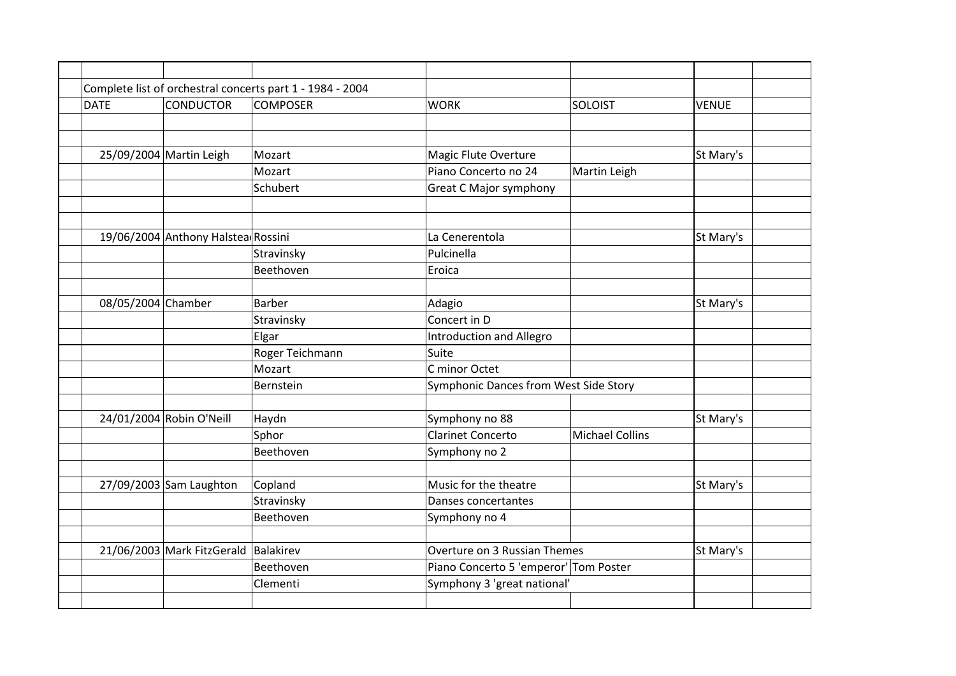|                    |                                      | Complete list of orchestral concerts part 1 - 1984 - 2004 |                                       |                        |              |
|--------------------|--------------------------------------|-----------------------------------------------------------|---------------------------------------|------------------------|--------------|
| <b>DATE</b>        | <b>CONDUCTOR</b>                     | <b>COMPOSER</b>                                           | <b>WORK</b>                           | <b>SOLOIST</b>         | <b>VENUE</b> |
|                    |                                      |                                                           |                                       |                        |              |
|                    | 25/09/2004 Martin Leigh              | Mozart                                                    | <b>Magic Flute Overture</b>           |                        | St Mary's    |
|                    |                                      | Mozart                                                    | Piano Concerto no 24                  | Martin Leigh           |              |
|                    |                                      | Schubert                                                  | <b>Great C Major symphony</b>         |                        |              |
|                    |                                      |                                                           |                                       |                        |              |
|                    | 19/06/2004 Anthony Halstea Rossini   |                                                           | La Cenerentola                        |                        | St Mary's    |
|                    |                                      | Stravinsky                                                | Pulcinella                            |                        |              |
|                    |                                      | Beethoven                                                 | Eroica                                |                        |              |
| 08/05/2004 Chamber |                                      | Barber                                                    | Adagio                                |                        | St Mary's    |
|                    |                                      | Stravinsky                                                | Concert in D                          |                        |              |
|                    |                                      | Elgar                                                     | Introduction and Allegro              |                        |              |
|                    |                                      | Roger Teichmann                                           | Suite                                 |                        |              |
|                    |                                      | Mozart                                                    | C minor Octet                         |                        |              |
|                    |                                      | Bernstein                                                 | Symphonic Dances from West Side Story |                        |              |
|                    | 24/01/2004 Robin O'Neill             | Haydn                                                     | Symphony no 88                        |                        | St Mary's    |
|                    |                                      | Sphor                                                     | <b>Clarinet Concerto</b>              | <b>Michael Collins</b> |              |
|                    |                                      | Beethoven                                                 | Symphony no 2                         |                        |              |
|                    | 27/09/2003 Sam Laughton              | Copland                                                   | Music for the theatre                 |                        | St Mary's    |
|                    |                                      | Stravinsky                                                | Danses concertantes                   |                        |              |
|                    |                                      | Beethoven                                                 | Symphony no 4                         |                        |              |
|                    | 21/06/2003 Mark FitzGerald Balakirev |                                                           | Overture on 3 Russian Themes          |                        | St Mary's    |
|                    |                                      | Beethoven                                                 | Piano Concerto 5 'emperor' Tom Poster |                        |              |
|                    |                                      | Clementi                                                  | Symphony 3 'great national'           |                        |              |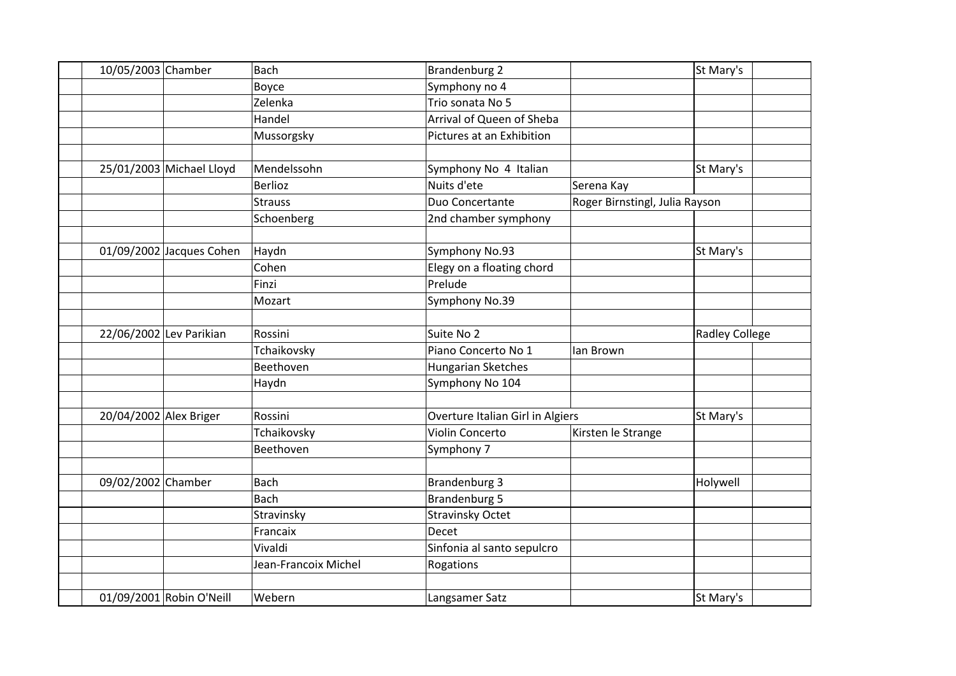| 10/05/2003 Chamber     |                          | <b>Bach</b>          | <b>Brandenburg 2</b>             |                                | St Mary's             |
|------------------------|--------------------------|----------------------|----------------------------------|--------------------------------|-----------------------|
|                        |                          | Boyce                | Symphony no 4                    |                                |                       |
|                        |                          | Zelenka              | Trio sonata No 5                 |                                |                       |
|                        |                          | Handel               | Arrival of Queen of Sheba        |                                |                       |
|                        |                          | Mussorgsky           | Pictures at an Exhibition        |                                |                       |
|                        |                          |                      |                                  |                                |                       |
|                        | 25/01/2003 Michael Lloyd | Mendelssohn          | Symphony No 4 Italian            |                                | St Mary's             |
|                        |                          | <b>Berlioz</b>       | Nuits d'ete                      | Serena Kay                     |                       |
|                        |                          | <b>Strauss</b>       | Duo Concertante                  | Roger Birnstingl, Julia Rayson |                       |
|                        |                          | Schoenberg           | 2nd chamber symphony             |                                |                       |
|                        |                          |                      |                                  |                                |                       |
|                        | 01/09/2002 Jacques Cohen | Haydn                | Symphony No.93                   |                                | St Mary's             |
|                        |                          | Cohen                | Elegy on a floating chord        |                                |                       |
|                        |                          | Finzi                | Prelude                          |                                |                       |
|                        |                          | Mozart               | Symphony No.39                   |                                |                       |
|                        |                          |                      |                                  |                                |                       |
|                        | 22/06/2002 Lev Parikian  | Rossini              | Suite No 2                       |                                | <b>Radley College</b> |
|                        |                          | Tchaikovsky          | Piano Concerto No 1              | lan Brown                      |                       |
|                        |                          | Beethoven            | Hungarian Sketches               |                                |                       |
|                        |                          | Haydn                | Symphony No 104                  |                                |                       |
|                        |                          |                      |                                  |                                |                       |
| 20/04/2002 Alex Briger |                          | Rossini              | Overture Italian Girl in Algiers |                                | St Mary's             |
|                        |                          | Tchaikovsky          | Violin Concerto                  | Kirsten le Strange             |                       |
|                        |                          | Beethoven            | Symphony 7                       |                                |                       |
|                        |                          |                      |                                  |                                |                       |
| 09/02/2002 Chamber     |                          | <b>Bach</b>          | <b>Brandenburg 3</b>             |                                | Holywell              |
|                        |                          | <b>Bach</b>          | <b>Brandenburg 5</b>             |                                |                       |
|                        |                          | Stravinsky           | <b>Stravinsky Octet</b>          |                                |                       |
|                        |                          | Francaix             | Decet                            |                                |                       |
|                        |                          | Vivaldi              | Sinfonia al santo sepulcro       |                                |                       |
|                        |                          | Jean-Francoix Michel | Rogations                        |                                |                       |
|                        |                          |                      |                                  |                                |                       |
|                        | 01/09/2001 Robin O'Neill | Webern               | Langsamer Satz                   |                                | St Mary's             |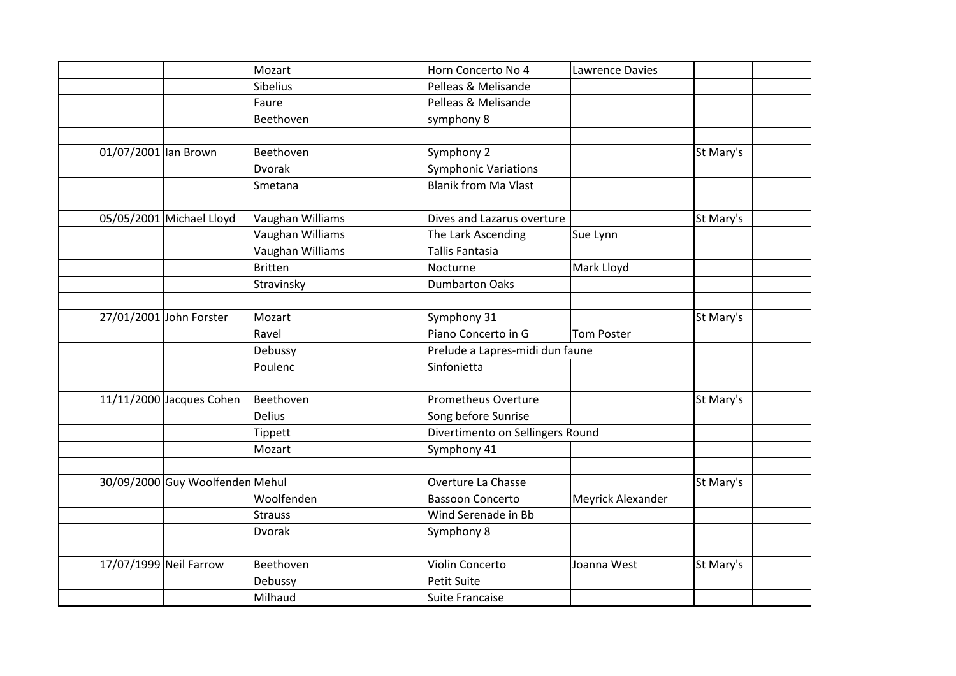|                                 | Mozart           | Horn Concerto No 4               | Lawrence Davies   |           |  |
|---------------------------------|------------------|----------------------------------|-------------------|-----------|--|
|                                 | <b>Sibelius</b>  | Pelleas & Melisande              |                   |           |  |
|                                 |                  |                                  |                   |           |  |
|                                 | Faure            | Pelleas & Melisande              |                   |           |  |
|                                 | Beethoven        | symphony 8                       |                   |           |  |
|                                 |                  |                                  |                   |           |  |
| 01/07/2001 lan Brown            | Beethoven        | Symphony 2                       |                   | St Mary's |  |
|                                 | <b>Dvorak</b>    | <b>Symphonic Variations</b>      |                   |           |  |
|                                 | Smetana          | <b>Blanik from Ma Vlast</b>      |                   |           |  |
|                                 |                  |                                  |                   |           |  |
| 05/05/2001 Michael Lloyd        | Vaughan Williams | Dives and Lazarus overture       |                   | St Mary's |  |
|                                 | Vaughan Williams | The Lark Ascending               | Sue Lynn          |           |  |
|                                 | Vaughan Williams | <b>Tallis Fantasia</b>           |                   |           |  |
|                                 | <b>Britten</b>   | Nocturne                         | Mark Lloyd        |           |  |
|                                 | Stravinsky       | <b>Dumbarton Oaks</b>            |                   |           |  |
|                                 |                  |                                  |                   |           |  |
| 27/01/2001 John Forster         | Mozart           | Symphony 31                      |                   | St Mary's |  |
|                                 | Ravel            | Piano Concerto in G              | Tom Poster        |           |  |
|                                 | Debussy          | Prelude a Lapres-midi dun faune  |                   |           |  |
|                                 | Poulenc          | Sinfonietta                      |                   |           |  |
|                                 |                  |                                  |                   |           |  |
| $11/11/2000$ Jacques Cohen      | Beethoven        | <b>Prometheus Overture</b>       |                   | St Mary's |  |
|                                 | <b>Delius</b>    | Song before Sunrise              |                   |           |  |
|                                 | <b>Tippett</b>   | Divertimento on Sellingers Round |                   |           |  |
|                                 | Mozart           | Symphony 41                      |                   |           |  |
|                                 |                  |                                  |                   |           |  |
| 30/09/2000 Guy Woolfenden Mehul |                  | Overture La Chasse               |                   | St Mary's |  |
|                                 | Woolfenden       | <b>Bassoon Concerto</b>          | Meyrick Alexander |           |  |
|                                 | <b>Strauss</b>   | Wind Serenade in Bb              |                   |           |  |
|                                 | <b>Dvorak</b>    | Symphony 8                       |                   |           |  |
|                                 |                  |                                  |                   |           |  |
| 17/07/1999 Neil Farrow          | Beethoven        | Violin Concerto                  | Joanna West       | St Mary's |  |
|                                 | Debussy          | <b>Petit Suite</b>               |                   |           |  |
|                                 | Milhaud          |                                  |                   |           |  |
|                                 |                  | Suite Francaise                  |                   |           |  |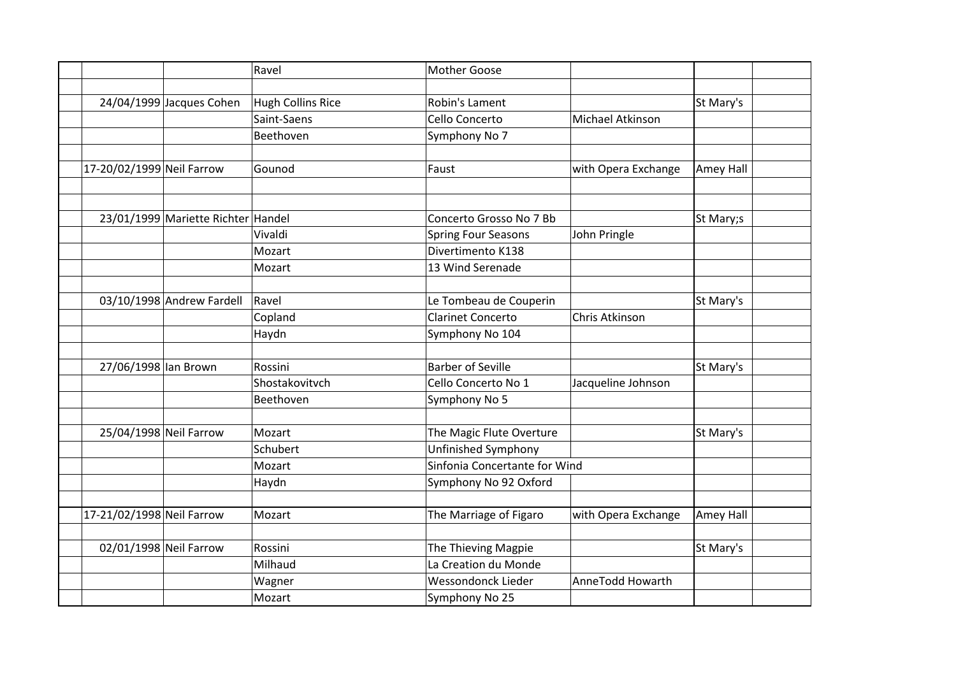|                           |                                    | Ravel                    | <b>Mother Goose</b>           |                     |           |
|---------------------------|------------------------------------|--------------------------|-------------------------------|---------------------|-----------|
|                           |                                    |                          |                               |                     |           |
|                           | 24/04/1999 Jacques Cohen           | <b>Hugh Collins Rice</b> | Robin's Lament                |                     | St Mary's |
|                           |                                    | Saint-Saens              | Cello Concerto                | Michael Atkinson    |           |
|                           |                                    | Beethoven                | Symphony No 7                 |                     |           |
|                           |                                    |                          |                               |                     |           |
| 17-20/02/1999 Neil Farrow |                                    | Gounod                   | Faust                         | with Opera Exchange | Amey Hall |
|                           |                                    |                          |                               |                     |           |
|                           |                                    |                          |                               |                     |           |
|                           | 23/01/1999 Mariette Richter Handel |                          | Concerto Grosso No 7 Bb       |                     | St Mary;s |
|                           |                                    | Vivaldi                  | <b>Spring Four Seasons</b>    | John Pringle        |           |
|                           |                                    | Mozart                   | Divertimento K138             |                     |           |
|                           |                                    | Mozart                   | 13 Wind Serenade              |                     |           |
|                           |                                    |                          |                               |                     |           |
|                           | 03/10/1998 Andrew Fardell          | Ravel                    | Le Tombeau de Couperin        |                     | St Mary's |
|                           |                                    | Copland                  | <b>Clarinet Concerto</b>      | Chris Atkinson      |           |
|                           |                                    | Haydn                    | Symphony No 104               |                     |           |
|                           |                                    |                          |                               |                     |           |
| 27/06/1998 lan Brown      |                                    | Rossini                  | <b>Barber of Seville</b>      |                     | St Mary's |
|                           |                                    | Shostakovitvch           | Cello Concerto No 1           | Jacqueline Johnson  |           |
|                           |                                    | Beethoven                | Symphony No 5                 |                     |           |
|                           |                                    |                          |                               |                     |           |
| 25/04/1998 Neil Farrow    |                                    | Mozart                   | The Magic Flute Overture      |                     | St Mary's |
|                           |                                    | Schubert                 | Unfinished Symphony           |                     |           |
|                           |                                    | Mozart                   | Sinfonia Concertante for Wind |                     |           |
|                           |                                    | Haydn                    | Symphony No 92 Oxford         |                     |           |
|                           |                                    |                          |                               |                     |           |
| 17-21/02/1998 Neil Farrow |                                    | Mozart                   | The Marriage of Figaro        | with Opera Exchange | Amey Hall |
|                           |                                    |                          |                               |                     |           |
| 02/01/1998 Neil Farrow    |                                    | Rossini                  | The Thieving Magpie           |                     | St Mary's |
|                           |                                    | Milhaud                  | La Creation du Monde          |                     |           |
|                           |                                    | Wagner                   | <b>Wessondonck Lieder</b>     | AnneTodd Howarth    |           |
|                           |                                    | Mozart                   | Symphony No 25                |                     |           |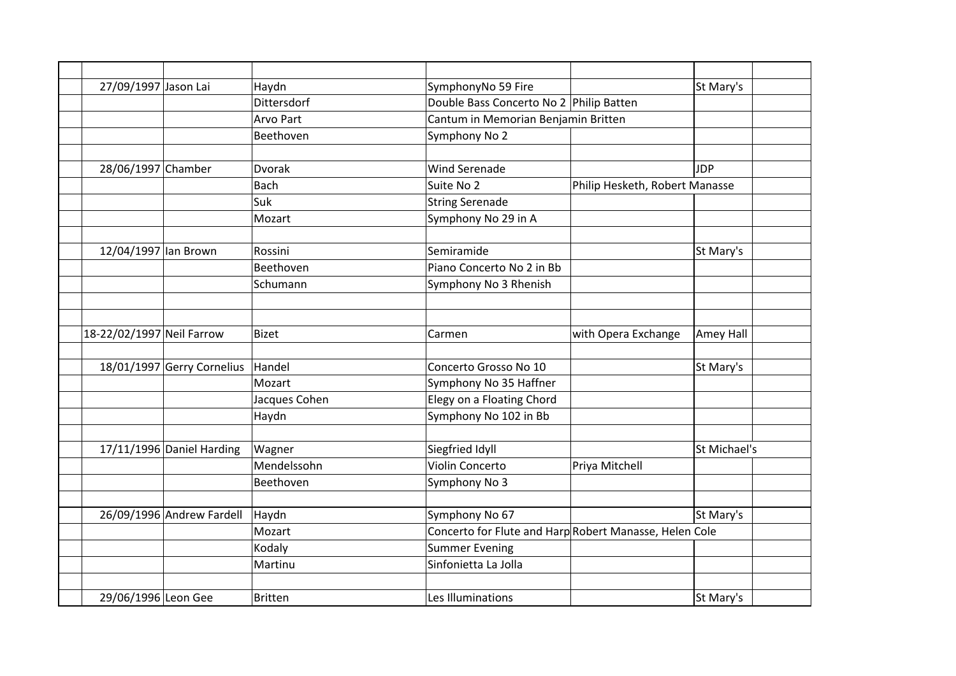| 27/09/1997 Jason Lai      |                            | Haydn            | SymphonyNo 59 Fire                                     |                                | St Mary's    |
|---------------------------|----------------------------|------------------|--------------------------------------------------------|--------------------------------|--------------|
|                           |                            | Dittersdorf      | Double Bass Concerto No 2 Philip Batten                |                                |              |
|                           |                            | <b>Arvo Part</b> | Cantum in Memorian Benjamin Britten                    |                                |              |
|                           |                            | Beethoven        | Symphony No 2                                          |                                |              |
|                           |                            |                  |                                                        |                                |              |
| 28/06/1997 Chamber        |                            | Dvorak           | <b>Wind Serenade</b>                                   |                                | <b>JDP</b>   |
|                           |                            | <b>Bach</b>      | Suite No 2                                             | Philip Hesketh, Robert Manasse |              |
|                           |                            | Suk              | <b>String Serenade</b>                                 |                                |              |
|                           |                            | Mozart           | Symphony No 29 in A                                    |                                |              |
|                           |                            |                  |                                                        |                                |              |
| 12/04/1997 lan Brown      |                            | Rossini          | Semiramide                                             |                                | St Mary's    |
|                           |                            | Beethoven        | Piano Concerto No 2 in Bb                              |                                |              |
|                           |                            | Schumann         | Symphony No 3 Rhenish                                  |                                |              |
|                           |                            |                  |                                                        |                                |              |
|                           |                            |                  |                                                        |                                |              |
| 18-22/02/1997 Neil Farrow |                            | <b>Bizet</b>     | Carmen                                                 | with Opera Exchange            | Amey Hall    |
|                           | 18/01/1997 Gerry Cornelius | Handel           | Concerto Grosso No 10                                  |                                | St Mary's    |
|                           |                            | Mozart           | Symphony No 35 Haffner                                 |                                |              |
|                           |                            | Jacques Cohen    | Elegy on a Floating Chord                              |                                |              |
|                           |                            | Haydn            | Symphony No 102 in Bb                                  |                                |              |
|                           |                            |                  |                                                        |                                |              |
|                           | 17/11/1996 Daniel Harding  | Wagner           | Siegfried Idyll                                        |                                | St Michael's |
|                           |                            | Mendelssohn      | <b>Violin Concerto</b>                                 | Priya Mitchell                 |              |
|                           |                            | Beethoven        | Symphony No 3                                          |                                |              |
|                           | 26/09/1996 Andrew Fardell  | Haydn            | Symphony No 67                                         |                                | St Mary's    |
|                           |                            | Mozart           | Concerto for Flute and Harp Robert Manasse, Helen Cole |                                |              |
|                           |                            | Kodaly           | <b>Summer Evening</b>                                  |                                |              |
|                           |                            | Martinu          | Sinfonietta La Jolla                                   |                                |              |
|                           |                            |                  |                                                        |                                |              |
| 29/06/1996 Leon Gee       |                            | Britten          | Les Illuminations                                      |                                | St Mary's    |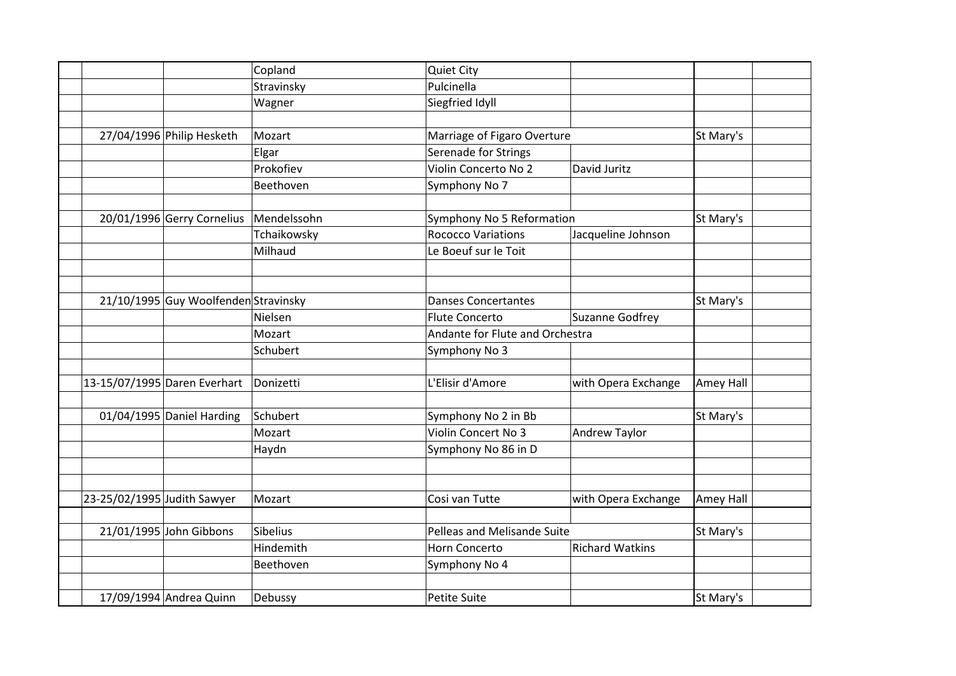|                             |                                      | Copland     | <b>Quiet City</b>               |                        |           |  |
|-----------------------------|--------------------------------------|-------------|---------------------------------|------------------------|-----------|--|
|                             |                                      | Stravinsky  | Pulcinella                      |                        |           |  |
|                             |                                      | Wagner      | Siegfried Idyll                 |                        |           |  |
|                             |                                      |             |                                 |                        |           |  |
|                             | 27/04/1996 Philip Hesketh            | Mozart      | Marriage of Figaro Overture     |                        | St Mary's |  |
|                             |                                      | Elgar       | Serenade for Strings            |                        |           |  |
|                             |                                      | Prokofiev   | Violin Concerto No 2            | David Juritz           |           |  |
|                             |                                      | Beethoven   | Symphony No 7                   |                        |           |  |
|                             |                                      |             |                                 |                        |           |  |
|                             | 20/01/1996 Gerry Cornelius           | Mendelssohn | Symphony No 5 Reformation       |                        | St Mary's |  |
|                             |                                      | Tchaikowsky | <b>Rococco Variations</b>       | Jacqueline Johnson     |           |  |
|                             |                                      | Milhaud     | Le Boeuf sur le Toit            |                        |           |  |
|                             |                                      |             |                                 |                        |           |  |
|                             | 21/10/1995 Guy Woolfenden Stravinsky |             | <b>Danses Concertantes</b>      |                        | St Mary's |  |
|                             |                                      | Nielsen     | Flute Concerto                  | Suzanne Godfrey        |           |  |
|                             |                                      | Mozart      | Andante for Flute and Orchestra |                        |           |  |
|                             |                                      | Schubert    | Symphony No 3                   |                        |           |  |
|                             |                                      |             |                                 |                        |           |  |
|                             | 13-15/07/1995 Daren Everhart         | Donizetti   | L'Elisir d'Amore                | with Opera Exchange    | Amey Hall |  |
|                             |                                      |             |                                 |                        |           |  |
|                             | 01/04/1995 Daniel Harding            | Schubert    | Symphony No 2 in Bb             |                        | St Mary's |  |
|                             |                                      | Mozart      | Violin Concert No 3             | Andrew Taylor          |           |  |
|                             |                                      | Haydn       | Symphony No 86 in D             |                        |           |  |
|                             |                                      |             |                                 |                        |           |  |
| 23-25/02/1995 Judith Sawyer |                                      | Mozart      | Cosi van Tutte                  | with Opera Exchange    | Amey Hall |  |
|                             |                                      |             |                                 |                        |           |  |
|                             | 21/01/1995 John Gibbons              | Sibelius    | Pelleas and Melisande Suite     |                        | St Mary's |  |
|                             |                                      | Hindemith   | Horn Concerto                   | <b>Richard Watkins</b> |           |  |
|                             |                                      | Beethoven   | Symphony No 4                   |                        |           |  |
|                             |                                      |             |                                 |                        |           |  |
|                             | 17/09/1994 Andrea Quinn              | Debussy     | <b>Petite Suite</b>             |                        | St Mary's |  |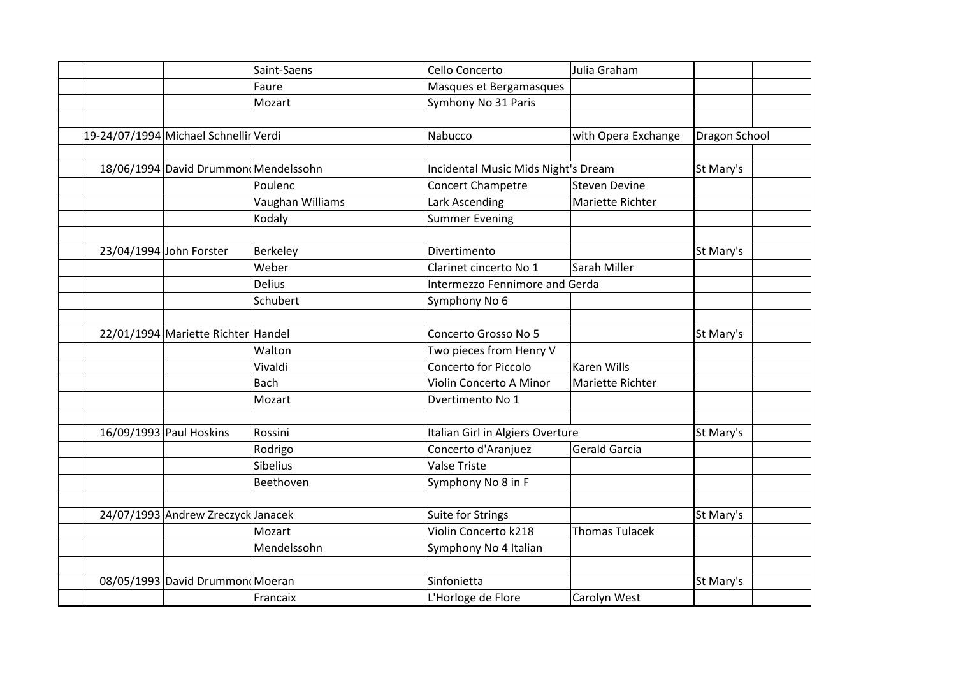|  |                                       | Saint-Saens      | Cello Concerto                      | Julia Graham          |               |  |
|--|---------------------------------------|------------------|-------------------------------------|-----------------------|---------------|--|
|  |                                       | Faure            | Masques et Bergamasques             |                       |               |  |
|  |                                       | Mozart           | Symhony No 31 Paris                 |                       |               |  |
|  |                                       |                  |                                     |                       |               |  |
|  | 19-24/07/1994 Michael Schnellir Verdi |                  | Nabucco                             | with Opera Exchange   | Dragon School |  |
|  |                                       |                  |                                     |                       |               |  |
|  | 18/06/1994 David Drummon Mendelssohn  |                  | Incidental Music Mids Night's Dream |                       | St Mary's     |  |
|  |                                       | Poulenc          | Concert Champetre                   | <b>Steven Devine</b>  |               |  |
|  |                                       | Vaughan Williams | Lark Ascending                      | Mariette Richter      |               |  |
|  |                                       | Kodaly           | <b>Summer Evening</b>               |                       |               |  |
|  |                                       |                  |                                     |                       |               |  |
|  | 23/04/1994 John Forster               | Berkeley         | Divertimento                        |                       | St Mary's     |  |
|  |                                       | Weber            | Clarinet cincerto No 1              | Sarah Miller          |               |  |
|  |                                       | <b>Delius</b>    | Intermezzo Fennimore and Gerda      |                       |               |  |
|  |                                       | Schubert         | Symphony No 6                       |                       |               |  |
|  |                                       |                  |                                     |                       |               |  |
|  | 22/01/1994 Mariette Richter Handel    |                  | Concerto Grosso No 5                |                       | St Mary's     |  |
|  |                                       | Walton           | Two pieces from Henry V             |                       |               |  |
|  |                                       | Vivaldi          | Concerto for Piccolo                | <b>Karen Wills</b>    |               |  |
|  |                                       | <b>Bach</b>      | Violin Concerto A Minor             | Mariette Richter      |               |  |
|  |                                       | Mozart           | Dvertimento No 1                    |                       |               |  |
|  |                                       |                  |                                     |                       |               |  |
|  | 16/09/1993 Paul Hoskins               | Rossini          | Italian Girl in Algiers Overture    |                       | St Mary's     |  |
|  |                                       | Rodrigo          | Concerto d'Aranjuez                 | <b>Gerald Garcia</b>  |               |  |
|  |                                       | <b>Sibelius</b>  | <b>Valse Triste</b>                 |                       |               |  |
|  |                                       | Beethoven        | Symphony No 8 in F                  |                       |               |  |
|  |                                       |                  |                                     |                       |               |  |
|  | 24/07/1993 Andrew Zreczyck Janacek    |                  | Suite for Strings                   |                       | St Mary's     |  |
|  |                                       | Mozart           | Violin Concerto k218                | <b>Thomas Tulacek</b> |               |  |
|  |                                       | Mendelssohn      | Symphony No 4 Italian               |                       |               |  |
|  |                                       |                  |                                     |                       |               |  |
|  | 08/05/1993 David Drummon Moeran       |                  | Sinfonietta                         |                       | St Mary's     |  |
|  |                                       | Francaix         | L'Horloge de Flore                  | Carolyn West          |               |  |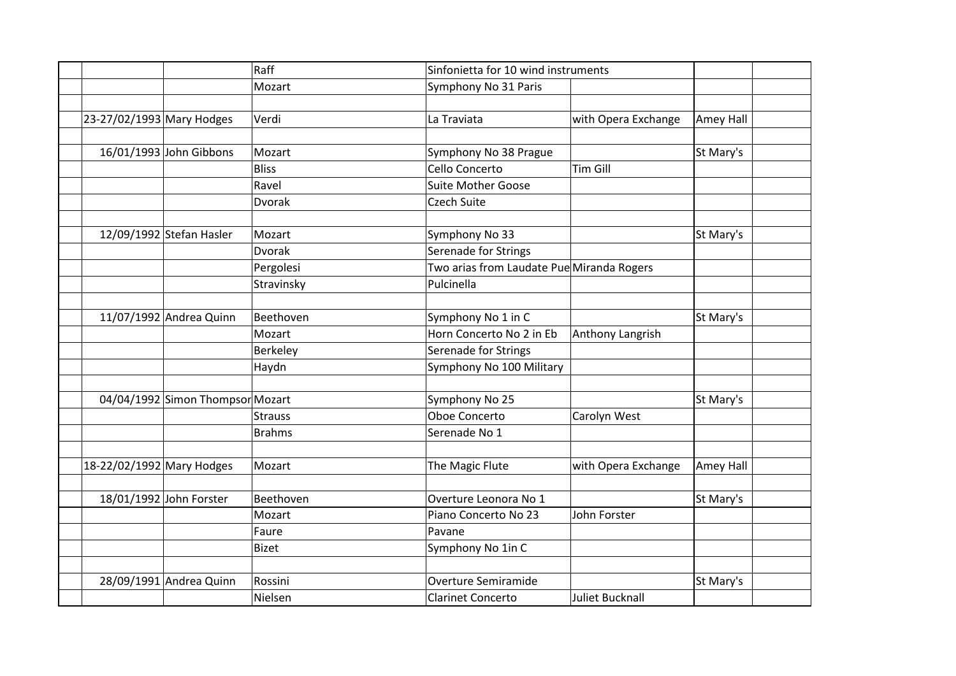|                           |                                  | Raff           | Sinfonietta for 10 wind instruments       |                     |           |  |
|---------------------------|----------------------------------|----------------|-------------------------------------------|---------------------|-----------|--|
|                           |                                  | Mozart         | Symphony No 31 Paris                      |                     |           |  |
|                           |                                  |                |                                           |                     |           |  |
| 23-27/02/1993 Mary Hodges |                                  | Verdi          | La Traviata                               | with Opera Exchange | Amey Hall |  |
|                           |                                  |                |                                           |                     |           |  |
|                           | 16/01/1993 John Gibbons          | Mozart         | Symphony No 38 Prague                     |                     | St Mary's |  |
|                           |                                  | <b>Bliss</b>   | Cello Concerto                            | <b>Tim Gill</b>     |           |  |
|                           |                                  | Ravel          | <b>Suite Mother Goose</b>                 |                     |           |  |
|                           |                                  | Dvorak         | <b>Czech Suite</b>                        |                     |           |  |
|                           |                                  |                |                                           |                     |           |  |
|                           | 12/09/1992 Stefan Hasler         | Mozart         | Symphony No 33                            |                     | St Mary's |  |
|                           |                                  | <b>Dvorak</b>  | Serenade for Strings                      |                     |           |  |
|                           |                                  | Pergolesi      | Two arias from Laudate Pue Miranda Rogers |                     |           |  |
|                           |                                  | Stravinsky     | Pulcinella                                |                     |           |  |
|                           |                                  |                |                                           |                     |           |  |
|                           | 11/07/1992 Andrea Quinn          | Beethoven      | Symphony No 1 in C                        |                     | St Mary's |  |
|                           |                                  | Mozart         | Horn Concerto No 2 in Eb                  | Anthony Langrish    |           |  |
|                           |                                  | Berkeley       | Serenade for Strings                      |                     |           |  |
|                           |                                  | Haydn          | Symphony No 100 Military                  |                     |           |  |
|                           |                                  |                |                                           |                     |           |  |
|                           | 04/04/1992 Simon Thompsor Mozart |                | Symphony No 25                            |                     | St Mary's |  |
|                           |                                  | <b>Strauss</b> | Oboe Concerto                             | Carolyn West        |           |  |
|                           |                                  | <b>Brahms</b>  | Serenade No 1                             |                     |           |  |
|                           |                                  |                |                                           |                     |           |  |
| 18-22/02/1992 Mary Hodges |                                  | Mozart         | The Magic Flute                           | with Opera Exchange | Amey Hall |  |
|                           |                                  |                |                                           |                     |           |  |
|                           | 18/01/1992 John Forster          | Beethoven      | Overture Leonora No 1                     |                     | St Mary's |  |
|                           |                                  | Mozart         | Piano Concerto No 23                      | John Forster        |           |  |
|                           |                                  | Faure          | Pavane                                    |                     |           |  |
|                           |                                  | <b>Bizet</b>   | Symphony No 1in C                         |                     |           |  |
|                           |                                  |                |                                           |                     |           |  |
|                           | 28/09/1991 Andrea Quinn          | Rossini        | Overture Semiramide                       |                     | St Mary's |  |
|                           |                                  | Nielsen        | <b>Clarinet Concerto</b>                  | Juliet Bucknall     |           |  |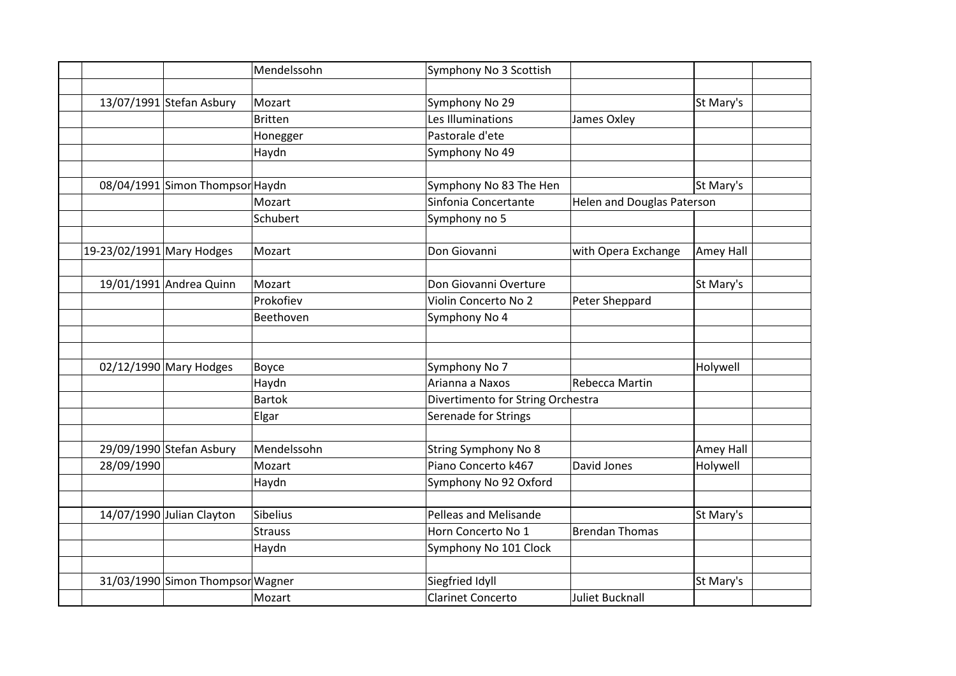|                           |                                  | Mendelssohn    | Symphony No 3 Scottish            |                                   |           |
|---------------------------|----------------------------------|----------------|-----------------------------------|-----------------------------------|-----------|
|                           |                                  |                |                                   |                                   |           |
|                           | 13/07/1991 Stefan Asbury         | Mozart         | Symphony No 29                    |                                   | St Mary's |
|                           |                                  | <b>Britten</b> | Les Illuminations                 | James Oxley                       |           |
|                           |                                  | Honegger       | Pastorale d'ete                   |                                   |           |
|                           |                                  | Haydn          | Symphony No 49                    |                                   |           |
|                           |                                  |                |                                   |                                   |           |
|                           | 08/04/1991 Simon Thompsor Haydn  |                | Symphony No 83 The Hen            |                                   | St Mary's |
|                           |                                  | Mozart         | Sinfonia Concertante              | <b>Helen and Douglas Paterson</b> |           |
|                           |                                  | Schubert       | Symphony no 5                     |                                   |           |
|                           |                                  |                |                                   |                                   |           |
| 19-23/02/1991 Mary Hodges |                                  | Mozart         | Don Giovanni                      | with Opera Exchange               | Amey Hall |
|                           |                                  |                |                                   |                                   |           |
|                           | 19/01/1991 Andrea Quinn          | Mozart         | Don Giovanni Overture             |                                   | St Mary's |
|                           |                                  | Prokofiev      | Violin Concerto No 2              | Peter Sheppard                    |           |
|                           |                                  | Beethoven      | Symphony No 4                     |                                   |           |
|                           |                                  |                |                                   |                                   |           |
|                           |                                  |                |                                   |                                   |           |
|                           | $02/12/1990$ Mary Hodges         | Boyce          | Symphony No 7                     |                                   | Holywell  |
|                           |                                  | Haydn          | Arianna a Naxos                   | Rebecca Martin                    |           |
|                           |                                  | <b>Bartok</b>  | Divertimento for String Orchestra |                                   |           |
|                           |                                  | Elgar          | Serenade for Strings              |                                   |           |
|                           |                                  |                |                                   |                                   |           |
|                           | 29/09/1990 Stefan Asbury         | Mendelssohn    | <b>String Symphony No 8</b>       |                                   | Amey Hall |
| 28/09/1990                |                                  | Mozart         | Piano Concerto k467               | David Jones                       | Holywell  |
|                           |                                  | Haydn          | Symphony No 92 Oxford             |                                   |           |
|                           |                                  |                |                                   |                                   |           |
|                           | 14/07/1990 Julian Clayton        | Sibelius       | Pelleas and Melisande             |                                   | St Mary's |
|                           |                                  | <b>Strauss</b> | Horn Concerto No 1                | <b>Brendan Thomas</b>             |           |
|                           |                                  | Haydn          | Symphony No 101 Clock             |                                   |           |
|                           |                                  |                |                                   |                                   |           |
|                           | 31/03/1990 Simon Thompsor Wagner |                | Siegfried Idyll                   |                                   | St Mary's |
|                           |                                  | Mozart         | <b>Clarinet Concerto</b>          | <b>Juliet Bucknall</b>            |           |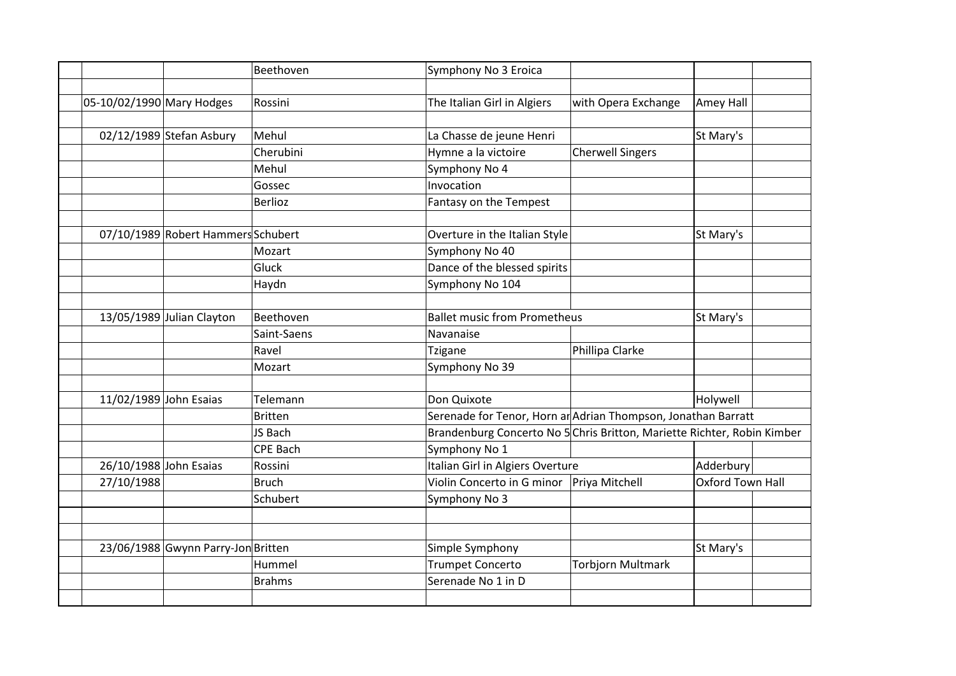|                           |                                    | Beethoven       | Symphony No 3 Eroica                                                    |                          |                         |  |
|---------------------------|------------------------------------|-----------------|-------------------------------------------------------------------------|--------------------------|-------------------------|--|
|                           |                                    |                 |                                                                         |                          |                         |  |
| 05-10/02/1990 Mary Hodges |                                    | Rossini         | The Italian Girl in Algiers                                             | with Opera Exchange      | Amey Hall               |  |
|                           |                                    |                 |                                                                         |                          |                         |  |
|                           | 02/12/1989 Stefan Asbury           | Mehul           | La Chasse de jeune Henri                                                |                          | St Mary's               |  |
|                           |                                    | Cherubini       | Hymne a la victoire                                                     | <b>Cherwell Singers</b>  |                         |  |
|                           |                                    | Mehul           | Symphony No 4                                                           |                          |                         |  |
|                           |                                    | Gossec          | Invocation                                                              |                          |                         |  |
|                           |                                    | Berlioz         | Fantasy on the Tempest                                                  |                          |                         |  |
|                           |                                    |                 |                                                                         |                          |                         |  |
|                           | 07/10/1989 Robert Hammers Schubert |                 | Overture in the Italian Style                                           |                          | St Mary's               |  |
|                           |                                    | Mozart          | Symphony No 40                                                          |                          |                         |  |
|                           |                                    | Gluck           | Dance of the blessed spirits                                            |                          |                         |  |
|                           |                                    | Haydn           | Symphony No 104                                                         |                          |                         |  |
|                           |                                    |                 |                                                                         |                          |                         |  |
|                           | 13/05/1989 Julian Clayton          | Beethoven       | <b>Ballet music from Prometheus</b>                                     |                          | St Mary's               |  |
|                           |                                    | Saint-Saens     | Navanaise                                                               |                          |                         |  |
|                           |                                    | Ravel           | <b>Tzigane</b>                                                          | Phillipa Clarke          |                         |  |
|                           |                                    | Mozart          | Symphony No 39                                                          |                          |                         |  |
|                           |                                    |                 |                                                                         |                          |                         |  |
| 11/02/1989 John Esaias    |                                    | Telemann        | Don Quixote                                                             |                          | Holywell                |  |
|                           |                                    | <b>Britten</b>  | Serenade for Tenor, Horn ar Adrian Thompson, Jonathan Barratt           |                          |                         |  |
|                           |                                    | JS Bach         | Brandenburg Concerto No 5 Chris Britton, Mariette Richter, Robin Kimber |                          |                         |  |
|                           |                                    | <b>CPE Bach</b> | Symphony No 1                                                           |                          |                         |  |
| 26/10/1988 John Esaias    |                                    | Rossini         | Italian Girl in Algiers Overture                                        |                          | Adderbury               |  |
| 27/10/1988                |                                    | Bruch           | Violin Concerto in G minor                                              | Priya Mitchell           | <b>Oxford Town Hall</b> |  |
|                           |                                    | Schubert        | Symphony No 3                                                           |                          |                         |  |
|                           |                                    |                 |                                                                         |                          |                         |  |
|                           |                                    |                 |                                                                         |                          |                         |  |
|                           | 23/06/1988 Gwynn Parry-Jon Britten |                 | Simple Symphony                                                         |                          | St Mary's               |  |
|                           |                                    | Hummel          | <b>Trumpet Concerto</b>                                                 | <b>Torbjorn Multmark</b> |                         |  |
|                           |                                    | <b>Brahms</b>   | Serenade No 1 in D                                                      |                          |                         |  |
|                           |                                    |                 |                                                                         |                          |                         |  |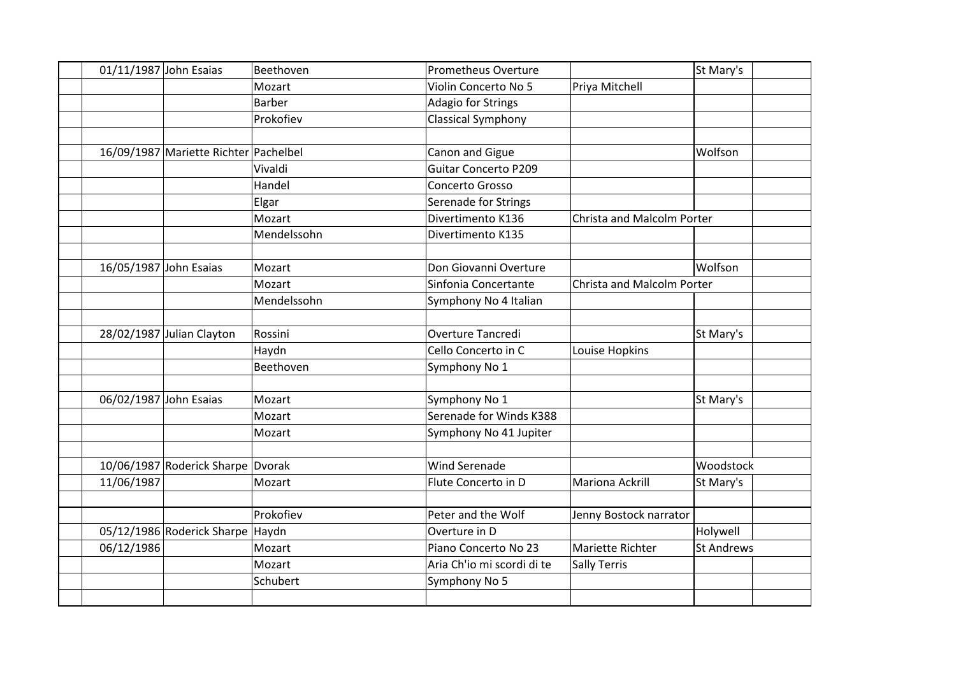| 01/11/1987 John Esaias |                                       | Beethoven     | <b>Prometheus Overture</b> |                            | St Mary's         |
|------------------------|---------------------------------------|---------------|----------------------------|----------------------------|-------------------|
|                        |                                       | Mozart        | Violin Concerto No 5       | Priya Mitchell             |                   |
|                        |                                       | <b>Barber</b> | Adagio for Strings         |                            |                   |
|                        |                                       | Prokofiev     | <b>Classical Symphony</b>  |                            |                   |
|                        |                                       |               |                            |                            |                   |
|                        | 16/09/1987 Mariette Richter Pachelbel |               | Canon and Gigue            |                            | Wolfson           |
|                        |                                       | Vivaldi       | Guitar Concerto P209       |                            |                   |
|                        |                                       | Handel        | Concerto Grosso            |                            |                   |
|                        |                                       | Elgar         | Serenade for Strings       |                            |                   |
|                        |                                       | Mozart        | Divertimento K136          | Christa and Malcolm Porter |                   |
|                        |                                       | Mendelssohn   | Divertimento K135          |                            |                   |
|                        |                                       |               |                            |                            |                   |
| 16/05/1987 John Esaias |                                       | Mozart        | Don Giovanni Overture      |                            | Wolfson           |
|                        |                                       | Mozart        | Sinfonia Concertante       | Christa and Malcolm Porter |                   |
|                        |                                       | Mendelssohn   | Symphony No 4 Italian      |                            |                   |
|                        |                                       |               | <b>Overture Tancredi</b>   |                            |                   |
|                        | 28/02/1987 Julian Clayton             | Rossini       |                            |                            | St Mary's         |
|                        |                                       | Haydn         | Cello Concerto in C        | Louise Hopkins             |                   |
|                        |                                       | Beethoven     | Symphony No 1              |                            |                   |
| 06/02/1987 John Esaias |                                       | Mozart        | Symphony No 1              |                            | St Mary's         |
|                        |                                       | Mozart        | Serenade for Winds K388    |                            |                   |
|                        |                                       | Mozart        | Symphony No 41 Jupiter     |                            |                   |
|                        |                                       |               |                            |                            |                   |
|                        | 10/06/1987 Roderick Sharpe Dvorak     |               | <b>Wind Serenade</b>       |                            | Woodstock         |
| 11/06/1987             |                                       | Mozart        | Flute Concerto in D        | <b>Mariona Ackrill</b>     | St Mary's         |
|                        |                                       |               |                            |                            |                   |
|                        |                                       | Prokofiev     | Peter and the Wolf         | Jenny Bostock narrator     |                   |
|                        | 05/12/1986 Roderick Sharpe Haydn      |               | Overture in D              |                            | Holywell          |
| 06/12/1986             |                                       | Mozart        | Piano Concerto No 23       | Mariette Richter           | <b>St Andrews</b> |
|                        |                                       | Mozart        | Aria Ch'io mi scordi di te | <b>Sally Terris</b>        |                   |
|                        |                                       | Schubert      | Symphony No 5              |                            |                   |
|                        |                                       |               |                            |                            |                   |